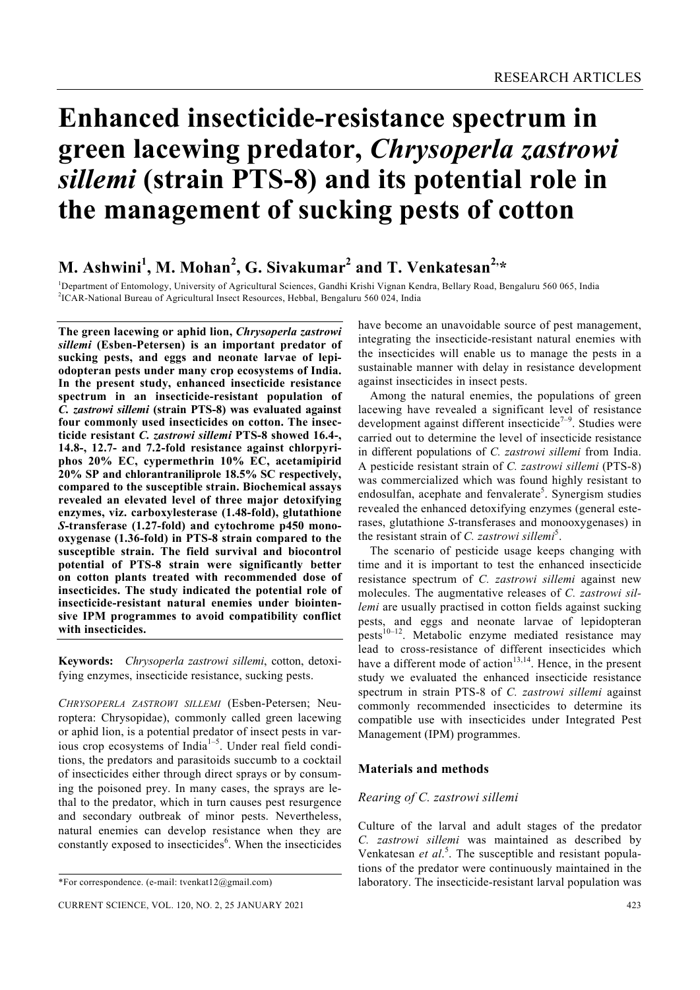# **Enhanced insecticide-resistance spectrum in green lacewing predator,** *Chrysoperla zastrowi sillemi* **(strain PTS-8) and its potential role in the management of sucking pests of cotton**

# **M. Ashwini<sup>1</sup> , M. Mohan<sup>2</sup> , G. Sivakumar<sup>2</sup> and T. Venkatesan2,\***

<sup>1</sup>Department of Entomology, University of Agricultural Sciences, Gandhi Krishi Vignan Kendra, Bellary Road, Bengaluru 560 065, India <sup>21</sup>CAP National Burgey of Agricultural Insect Besearces, Hobbel, Bengaluru 560 024, Ind <sup>2</sup>ICAR-National Bureau of Agricultural Insect Resources, Hebbal, Bengaluru 560 024, India

**The green lacewing or aphid lion,** *Chrysoperla zastrowi sillemi* **(Esben-Petersen) is an important predator of sucking pests, and eggs and neonate larvae of lepiodopteran pests under many crop ecosystems of India. In the present study, enhanced insecticide resistance spectrum in an insecticide-resistant population of**  *C. zastrowi sillemi* **(strain PTS-8) was evaluated against four commonly used insecticides on cotton. The insecticide resistant** *C. zastrowi sillemi* **PTS-8 showed 16.4-, 14.8-, 12.7- and 7.2-fold resistance against chlorpyriphos 20% EC, cypermethrin 10% EC, acetamipirid 20% SP and chlorantraniliprole 18.5% SC respectively, compared to the susceptible strain. Biochemical assays revealed an elevated level of three major detoxifying enzymes, viz. carboxylesterase (1.48-fold), glutathione**  *S***-transferase (1.27-fold) and cytochrome p450 monooxygenase (1.36-fold) in PTS-8 strain compared to the susceptible strain. The field survival and biocontrol potential of PTS-8 strain were significantly better on cotton plants treated with recommended dose of insecticides. The study indicated the potential role of insecticide-resistant natural enemies under biointensive IPM programmes to avoid compatibility conflict with insecticides.** 

**Keywords:** *Chrysoperla zastrowi sillemi*, cotton, detoxifying enzymes, insecticide resistance, sucking pests.

*CHRYSOPERLA ZASTROWI SILLEMI* (Esben-Petersen; Neuroptera: Chrysopidae), commonly called green lacewing or aphid lion, is a potential predator of insect pests in various crop ecosystems of India<sup> $1-5$ </sup>. Under real field conditions, the predators and parasitoids succumb to a cocktail of insecticides either through direct sprays or by consuming the poisoned prey. In many cases, the sprays are lethal to the predator, which in turn causes pest resurgence and secondary outbreak of minor pests. Nevertheless, natural enemies can develop resistance when they are constantly exposed to insecticides<sup>6</sup>. When the insecticides have become an unavoidable source of pest management, integrating the insecticide-resistant natural enemies with the insecticides will enable us to manage the pests in a sustainable manner with delay in resistance development against insecticides in insect pests.

 Among the natural enemies, the populations of green lacewing have revealed a significant level of resistance development against different insecticide<sup> $7-9$ </sup>. Studies were carried out to determine the level of insecticide resistance in different populations of *C. zastrowi sillemi* from India. A pesticide resistant strain of *C. zastrowi sillemi* (PTS-8) was commercialized which was found highly resistant to endosulfan, acephate and fenvalerate<sup>5</sup>. Synergism studies revealed the enhanced detoxifying enzymes (general esterases, glutathione *S*-transferases and monooxygenases) in the resistant strain of *C. zastrowi sillemi*<sup>5</sup>.

 The scenario of pesticide usage keeps changing with time and it is important to test the enhanced insecticide resistance spectrum of *C. zastrowi sillemi* against new molecules. The augmentative releases of *C. zastrowi sillemi* are usually practised in cotton fields against sucking pests, and eggs and neonate larvae of lepidopteran  $pests<sup>10-12</sup>$ . Metabolic enzyme mediated resistance may lead to cross-resistance of different insecticides which have a different mode of action $13,14$ . Hence, in the present study we evaluated the enhanced insecticide resistance spectrum in strain PTS-8 of *C. zastrowi sillemi* against commonly recommended insecticides to determine its compatible use with insecticides under Integrated Pest Management (IPM) programmes.

#### **Materials and methods**

#### *Rearing of C. zastrowi sillemi*

Culture of the larval and adult stages of the predator *C. zastrowi sillemi* was maintained as described by Venkatesan *et al*. 5 . The susceptible and resistant populations of the predator were continuously maintained in the laboratory. The insecticide-resistant larval population was

<sup>\*</sup>For correspondence. (e-mail: tvenkat12@gmail.com)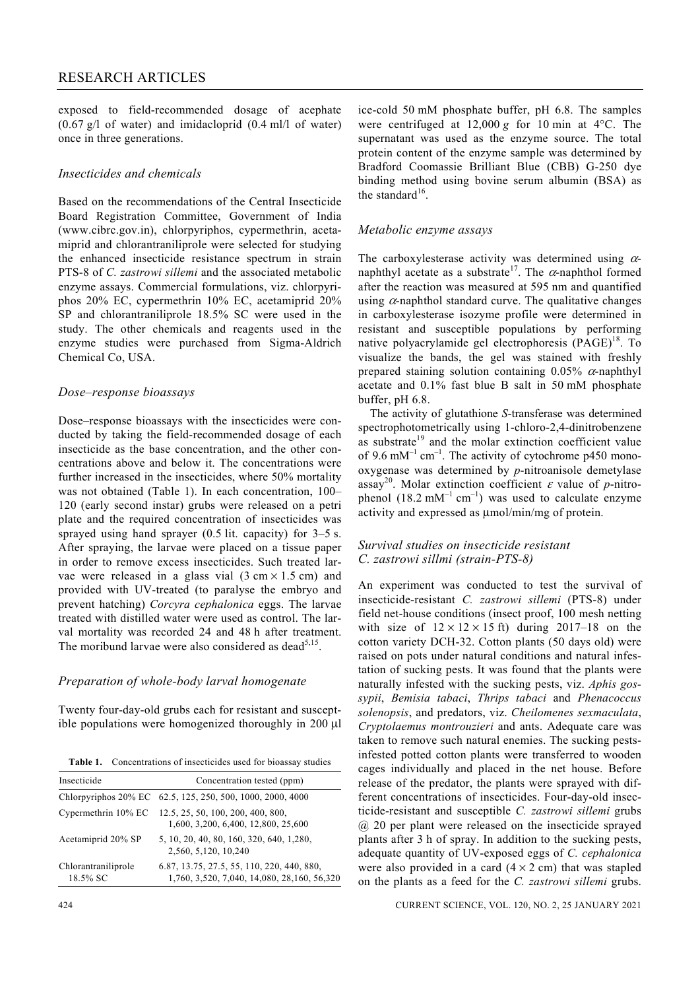## RESEARCH ARTICLES

exposed to field-recommended dosage of acephate  $(0.67 \text{ g/l of water})$  and imidacloprid  $(0.4 \text{ m/l of water})$ once in three generations.

### *Insecticides and chemicals*

Based on the recommendations of the Central Insecticide Board Registration Committee, Government of India (www.cibrc.gov.in), chlorpyriphos, cypermethrin, acetamiprid and chlorantraniliprole were selected for studying the enhanced insecticide resistance spectrum in strain PTS-8 of *C. zastrowi sillemi* and the associated metabolic enzyme assays. Commercial formulations, viz. chlorpyriphos 20% EC, cypermethrin 10% EC, acetamiprid 20% SP and chlorantraniliprole 18.5% SC were used in the study. The other chemicals and reagents used in the enzyme studies were purchased from Sigma-Aldrich Chemical Co, USA.

#### *Dose–response bioassays*

Dose–response bioassays with the insecticides were conducted by taking the field-recommended dosage of each insecticide as the base concentration, and the other concentrations above and below it. The concentrations were further increased in the insecticides, where 50% mortality was not obtained (Table 1). In each concentration, 100– 120 (early second instar) grubs were released on a petri plate and the required concentration of insecticides was sprayed using hand sprayer (0.5 lit. capacity) for 3–5 s. After spraying, the larvae were placed on a tissue paper in order to remove excess insecticides. Such treated larvae were released in a glass vial  $(3 \text{ cm} \times 1.5 \text{ cm})$  and provided with UV-treated (to paralyse the embryo and prevent hatching) *Corcyra cephalonica* eggs. The larvae treated with distilled water were used as control. The larval mortality was recorded 24 and 48 h after treatment. The moribund larvae were also considered as dead $5,15$ .

#### *Preparation of whole-body larval homogenate*

Twenty four-day-old grubs each for resistant and susceptible populations were homogenized thoroughly in 200 μl

| <b>Table 1.</b> Concentrations of insecticides used for bioassay studies |
|--------------------------------------------------------------------------|
|--------------------------------------------------------------------------|

| Insecticide                     | Concentration tested (ppm)                                                                |
|---------------------------------|-------------------------------------------------------------------------------------------|
|                                 | Chlorpyriphos 20% EC 62.5, 125, 250, 500, 1000, 2000, 4000                                |
| Cypermethrin 10% EC             | 12.5, 25, 50, 100, 200, 400, 800,<br>1,600, 3,200, 6,400, 12,800, 25,600                  |
| Acetamiprid 20% SP              | 5, 10, 20, 40, 80, 160, 320, 640, 1,280,<br>2,560, 5,120, 10,240                          |
| Chlorantraniliprole<br>18.5% SC | 6.87, 13.75, 27.5, 55, 110, 220, 440, 880,<br>1,760, 3,520, 7,040, 14,080, 28,160, 56,320 |

ice-cold 50 mM phosphate buffer, pH 6.8. The samples were centrifuged at 12,000 *g* for 10 min at 4°C. The supernatant was used as the enzyme source. The total protein content of the enzyme sample was determined by Bradford Coomassie Brilliant Blue (CBB) G-250 dye binding method using bovine serum albumin (BSA) as the standard $16$ .

#### *Metabolic enzyme assays*

The carboxylesterase activity was determined using  $\alpha$ naphthyl acetate as a substrate<sup>17</sup>. The  $\alpha$ -naphthol formed after the reaction was measured at 595 nm and quantified using  $\alpha$ -naphthol standard curve. The qualitative changes in carboxylesterase isozyme profile were determined in resistant and susceptible populations by performing native polyacrylamide gel electrophoresis  $(PAGE)^{18}$ . To visualize the bands, the gel was stained with freshly prepared staining solution containing  $0.05\%$   $\alpha$ -naphthyl acetate and 0.1% fast blue B salt in 50 mM phosphate buffer, pH 6.8.

 The activity of glutathione *S*-transferase was determined spectrophotometrically using 1-chloro-2,4-dinitrobenzene as substrate<sup>19</sup> and the molar extinction coefficient value of 9.6 mM<sup>-1</sup> cm<sup>-1</sup>. The activity of cytochrome p450 monooxygenase was determined by *p*-nitroanisole demetylase assay<sup>20</sup>. Molar extinction coefficient  $\varepsilon$  value of *p*-nitrophenol (18.2 mM<sup>-1</sup> cm<sup>-1</sup>) was used to calculate enzyme activity and expressed as μmol/min/mg of protein.

#### *Survival studies on insecticide resistant C. zastrowi sillmi (strain-PTS-8)*

An experiment was conducted to test the survival of insecticide-resistant *C. zastrowi sillemi* (PTS-8) under field net-house conditions (insect proof, 100 mesh netting with size of  $12 \times 12 \times 15$  ft) during 2017–18 on the cotton variety DCH-32. Cotton plants (50 days old) were raised on pots under natural conditions and natural infestation of sucking pests. It was found that the plants were naturally infested with the sucking pests, viz. *Aphis gossypii*, *Bemisia tabaci*, *Thrips tabaci* and *Phenacoccus solenopsis*, and predators, viz. *Cheilomenes sexmaculata*, *Cryptolaemus montrouzieri* and ants. Adequate care was taken to remove such natural enemies. The sucking pestsinfested potted cotton plants were transferred to wooden cages individually and placed in the net house. Before release of the predator, the plants were sprayed with different concentrations of insecticides. Four-day-old insecticide-resistant and susceptible *C. zastrowi sillemi* grubs @ 20 per plant were released on the insecticide sprayed plants after 3 h of spray. In addition to the sucking pests, adequate quantity of UV-exposed eggs of *C. cephalonica*  were also provided in a card  $(4 \times 2 \text{ cm})$  that was stapled on the plants as a feed for the *C. zastrowi sillemi* grubs.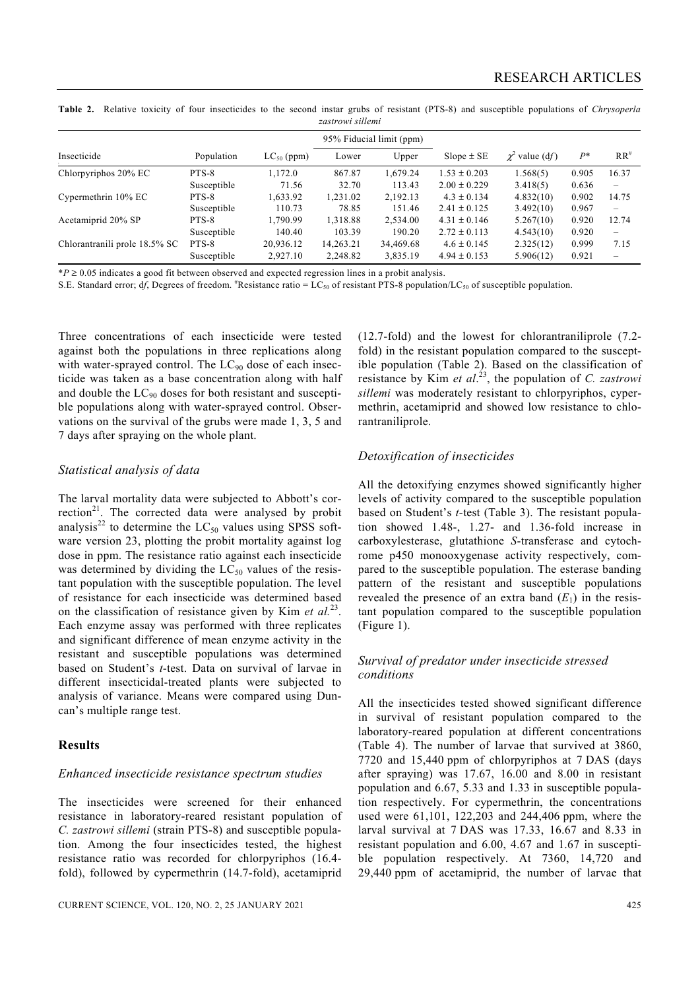|                  | Table 2. Relative toxicity of four insecticides to the second instar grubs of resistant (PTS-8) and susceptible populations of Chrysoperla |  |  |  |  |  |  |  |  |  |  |  |  |  |  |
|------------------|--------------------------------------------------------------------------------------------------------------------------------------------|--|--|--|--|--|--|--|--|--|--|--|--|--|--|
| zastrowi sillemi |                                                                                                                                            |  |  |  |  |  |  |  |  |  |  |  |  |  |  |

|                               |             |                 |           | 95% Fiducial limit (ppm) |                  |                     |       |                          |  |  |
|-------------------------------|-------------|-----------------|-----------|--------------------------|------------------|---------------------|-------|--------------------------|--|--|
| Insecticide                   | Population  | $LC_{50}$ (ppm) | Lower     | Upper                    | $Slope \pm SE$   | $\chi^2$ value (df) | $P^*$ | $RR^*$                   |  |  |
| Chlorpyriphos 20% EC          | PTS-8       | 1,172.0         | 867.87    | 1,679.24                 | $1.53 \pm 0.203$ | 1.568(5)            | 0.905 | 16.37                    |  |  |
|                               | Susceptible | 71.56           | 32.70     | 113.43                   | $2.00 \pm 0.229$ | 3.418(5)            | 0.636 | $\qquad \qquad -$        |  |  |
| Cypermethrin 10% EC           | PTS-8       | 1,633.92        | 1,231.02  | 2,192.13                 | $4.3 \pm 0.134$  | 4.832(10)           | 0.902 | 14.75                    |  |  |
|                               | Susceptible | 110.73          | 78.85     | 151.46                   | $2.41 \pm 0.125$ | 3.492(10)           | 0.967 |                          |  |  |
| Acetamiprid 20% SP            | PTS-8       | 1,790.99        | 1,318.88  | 2,534.00                 | $4.31 \pm 0.146$ | 5.267(10)           | 0.920 | 12.74                    |  |  |
|                               | Susceptible | 140.40          | 103.39    | 190.20                   | $2.72 \pm 0.113$ | 4.543(10)           | 0.920 | $\overline{\phantom{0}}$ |  |  |
| Chlorantranili prole 18.5% SC | PTS-8       | 20,936.12       | 14,263.21 | 34,469.68                | $4.6 \pm 0.145$  | 2.325(12)           | 0.999 | 7.15                     |  |  |
|                               | Susceptible | 2,927.10        | 2,248.82  | 3,835.19                 | $4.94 \pm 0.153$ | 5.906(12)           | 0.921 | $\qquad \qquad$          |  |  |

\**P* ≥ 0.05 indicates a good fit between observed and expected regression lines in a probit analysis.

S.E. Standard error; df, Degrees of freedom. *\**Resistance ratio =  $LC_{50}$  of resistant PTS-8 population/LC<sub>50</sub> of susceptible population.

Three concentrations of each insecticide were tested against both the populations in three replications along with water-sprayed control. The  $LC_{90}$  dose of each insecticide was taken as a base concentration along with half and double the  $LC_{90}$  doses for both resistant and susceptible populations along with water-sprayed control. Observations on the survival of the grubs were made 1, 3, 5 and 7 days after spraying on the whole plant.

#### *Statistical analysis of data*

The larval mortality data were subjected to Abbott's correction $2^1$ . The corrected data were analysed by probit analysis<sup>22</sup> to determine the  $LC_{50}$  values using SPSS software version 23, plotting the probit mortality against log dose in ppm. The resistance ratio against each insecticide was determined by dividing the  $LC_{50}$  values of the resistant population with the susceptible population. The level of resistance for each insecticide was determined based on the classification of resistance given by Kim *et al.*23. Each enzyme assay was performed with three replicates and significant difference of mean enzyme activity in the resistant and susceptible populations was determined based on Student's *t*-test. Data on survival of larvae in different insecticidal-treated plants were subjected to analysis of variance. Means were compared using Duncan's multiple range test.

#### **Results**

#### *Enhanced insecticide resistance spectrum studies*

The insecticides were screened for their enhanced resistance in laboratory-reared resistant population of *C. zastrowi sillemi* (strain PTS-8) and susceptible population. Among the four insecticides tested, the highest resistance ratio was recorded for chlorpyriphos (16.4 fold), followed by cypermethrin (14.7-fold), acetamiprid (12.7-fold) and the lowest for chlorantraniliprole (7.2 fold) in the resistant population compared to the susceptible population (Table 2). Based on the classification of resistance by Kim *et al*. 23, the population of *C. zastrowi sillemi* was moderately resistant to chlorpyriphos, cypermethrin, acetamiprid and showed low resistance to chlorantraniliprole.

#### *Detoxification of insecticides*

All the detoxifying enzymes showed significantly higher levels of activity compared to the susceptible population based on Student's *t-*test (Table 3). The resistant population showed 1.48-, 1.27- and 1.36-fold increase in carboxylesterase, glutathione *S*-transferase and cytochrome p450 monooxygenase activity respectively, compared to the susceptible population. The esterase banding pattern of the resistant and susceptible populations revealed the presence of an extra band  $(E_1)$  in the resistant population compared to the susceptible population (Figure 1).

### *Survival of predator under insecticide stressed conditions*

All the insecticides tested showed significant difference in survival of resistant population compared to the laboratory-reared population at different concentrations (Table 4). The number of larvae that survived at 3860, 7720 and 15,440 ppm of chlorpyriphos at 7 DAS (days after spraying) was 17.67, 16.00 and 8.00 in resistant population and 6.67, 5.33 and 1.33 in susceptible population respectively. For cypermethrin, the concentrations used were 61,101, 122,203 and 244,406 ppm, where the larval survival at 7 DAS was 17.33, 16.67 and 8.33 in resistant population and 6.00, 4.67 and 1.67 in susceptible population respectively. At 7360, 14,720 and 29,440 ppm of acetamiprid, the number of larvae that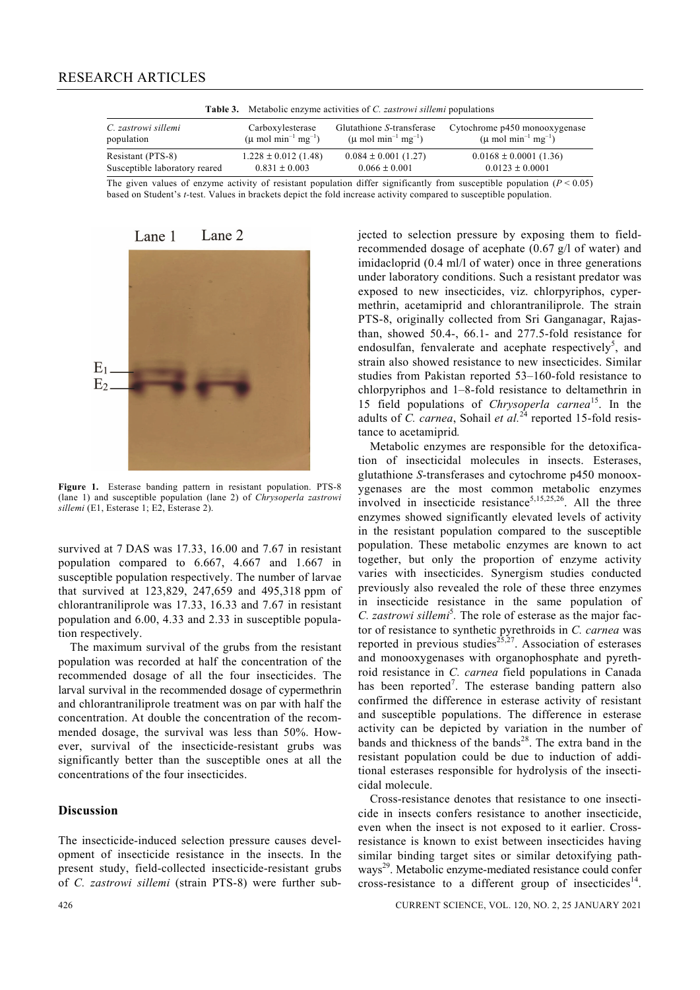| <b>Table 3.</b> Metabolic enzyme activities of C. <i>zastrowi sillemi</i> populations |                                                                  |                                                                           |                                                                               |  |  |  |  |  |  |
|---------------------------------------------------------------------------------------|------------------------------------------------------------------|---------------------------------------------------------------------------|-------------------------------------------------------------------------------|--|--|--|--|--|--|
| C. zastrowi sillemi<br>population                                                     | Carboxylesterase<br>$(\mu \text{ mol min}^{-1} \text{ mg}^{-1})$ | Glutathione S-transferase<br>$(\mu \text{ mol min}^{-1} \text{ mg}^{-1})$ | Cytochrome p450 monooxygenase<br>$(\mu \text{ mol min}^{-1} \text{ mg}^{-1})$ |  |  |  |  |  |  |
| Resistant (PTS-8)                                                                     | $1.228 \pm 0.012$ (1.48)                                         | $0.084 \pm 0.001$ (1.27)                                                  | $0.0168 \pm 0.0001$ (1.36)                                                    |  |  |  |  |  |  |
| Susceptible laboratory reared                                                         | $0.831 + 0.003$                                                  | $0.066 \pm 0.001$                                                         | $0.0123 \pm 0.0001$                                                           |  |  |  |  |  |  |

The given values of enzyme activity of resistant population differ significantly from susceptible population  $(P < 0.05)$ based on Student's *t-*test. Values in brackets depict the fold increase activity compared to susceptible population.



**Figure 1.** Esterase banding pattern in resistant population. PTS-8 (lane 1) and susceptible population (lane 2) of *Chrysoperla zastrowi sillemi* (E1, Esterase 1; E2, Esterase 2).

survived at 7 DAS was 17.33, 16.00 and 7.67 in resistant population compared to 6.667, 4.667 and 1.667 in susceptible population respectively. The number of larvae that survived at 123,829, 247,659 and 495,318 ppm of chlorantraniliprole was 17.33, 16.33 and 7.67 in resistant population and 6.00, 4.33 and 2.33 in susceptible population respectively.

 The maximum survival of the grubs from the resistant population was recorded at half the concentration of the recommended dosage of all the four insecticides. The larval survival in the recommended dosage of cypermethrin and chlorantraniliprole treatment was on par with half the concentration. At double the concentration of the recommended dosage, the survival was less than 50%. However, survival of the insecticide-resistant grubs was significantly better than the susceptible ones at all the concentrations of the four insecticides.

#### **Discussion**

The insecticide-induced selection pressure causes development of insecticide resistance in the insects. In the present study, field-collected insecticide-resistant grubs of *C. zastrowi sillemi* (strain PTS-8) were further subjected to selection pressure by exposing them to fieldrecommended dosage of acephate (0.67 g/l of water) and imidacloprid (0.4 ml/l of water) once in three generations under laboratory conditions. Such a resistant predator was exposed to new insecticides, viz. chlorpyriphos, cypermethrin, acetamiprid and chlorantraniliprole. The strain PTS-8, originally collected from Sri Ganganagar, Rajasthan, showed 50.4-, 66.1- and 277.5-fold resistance for endosulfan, fenvalerate and acephate respectively<sup>5</sup>, and strain also showed resistance to new insecticides. Similar studies from Pakistan reported 53–160-fold resistance to chlorpyriphos and 1–8-fold resistance to deltamethrin in 15 field populations of *Chrysoperla carnea*15. In the adults of *C. carnea*, Sohail *et al.*<sup>24</sup> reported 15-fold resistance to acetamiprid*.* 

 Metabolic enzymes are responsible for the detoxification of insecticidal molecules in insects. Esterases, glutathione *S*-transferases and cytochrome p450 monooxygenases are the most common metabolic enzymes involved in insecticide resistance<sup>5,15,25,26</sup>. All the three enzymes showed significantly elevated levels of activity in the resistant population compared to the susceptible population. These metabolic enzymes are known to act together, but only the proportion of enzyme activity varies with insecticides. Synergism studies conducted previously also revealed the role of these three enzymes in insecticide resistance in the same population of C. zastrowi sillemi<sup>5</sup>. The role of esterase as the major factor of resistance to synthetic pyrethroids in *C. carnea* was reported in previous studies<sup>25,27</sup>. Association of esterases and monooxygenases with organophosphate and pyrethroid resistance in *C. carnea* field populations in Canada has been reported<sup>7</sup>. The esterase banding pattern also confirmed the difference in esterase activity of resistant and susceptible populations. The difference in esterase activity can be depicted by variation in the number of bands and thickness of the bands<sup>28</sup>. The extra band in the resistant population could be due to induction of additional esterases responsible for hydrolysis of the insecticidal molecule.

 Cross-resistance denotes that resistance to one insecticide in insects confers resistance to another insecticide, even when the insect is not exposed to it earlier. Crossresistance is known to exist between insecticides having similar binding target sites or similar detoxifying pathways<sup>29</sup>. Metabolic enzyme-mediated resistance could confer cross-resistance to a different group of insecticides<sup>14</sup>.

426 CURRENT SCIENCE, VOL. 120, NO. 2, 25 JANUARY 2021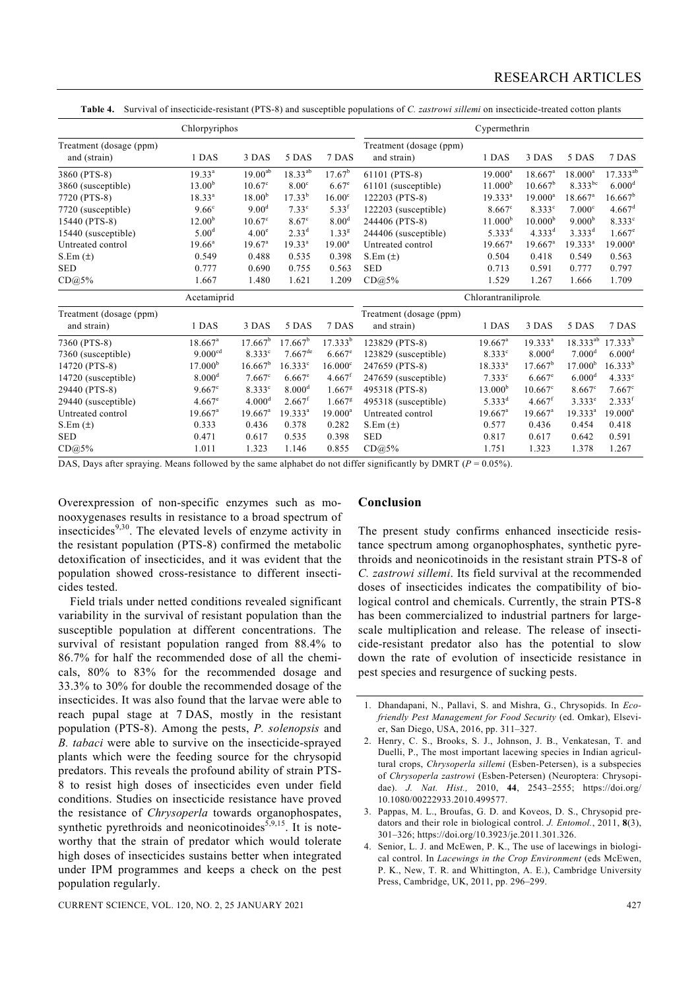|                                         | Cypermethrin          |                       |                       |                      |                                        |                       |                       |                       |                      |  |  |
|-----------------------------------------|-----------------------|-----------------------|-----------------------|----------------------|----------------------------------------|-----------------------|-----------------------|-----------------------|----------------------|--|--|
| Treatment (dosage (ppm)<br>and (strain) | 1 DAS                 | 3 DAS                 | 5 DAS                 | 7 DAS                | Treatment (dosage (ppm)<br>and strain) | 1 DAS                 | 3 DAS                 | 5 DAS                 | 7 DAS                |  |  |
| 3860 (PTS-8)                            | $19.33^{a}$           | $19.00^{ab}$          | $18.33^{ab}$          | 17.67 <sup>b</sup>   | 61101 (PTS-8)                          | $19.000^a$            | $18.667$ <sup>a</sup> | $18.000^a$            | $17.333^{ab}$        |  |  |
| 3860 (susceptible)                      | 13.00 <sup>b</sup>    | $10.67^{\circ}$       | $8.00^\circ$          | $6.67^e$             | 61101 (susceptible)                    | 11.000 <sup>b</sup>   | $10.667^b$            | $8.333^{bc}$          | 6.000 <sup>d</sup>   |  |  |
| 7720 (PTS-8)                            | $18.33^{a}$           | 18.00 <sup>b</sup>    | $17.33^{b}$           | 16.00 <sup>c</sup>   | 122203 (PTS-8)                         | $19.333^{a}$          | $19.000^a$            | $18.667$ <sup>a</sup> | $16.667^{\rm b}$     |  |  |
| 7720 (susceptible)                      | 9.66 <sup>c</sup>     | 9.00 <sup>d</sup>     | 7.33 <sup>c</sup>     | $5.33^{f}$           | 122203 (susceptible)                   | $8.667$ <sup>c</sup>  | 8.333c                | 7.000 <sup>c</sup>    | $4.667$ <sup>d</sup> |  |  |
| 15440 (PTS-8)                           | 12.00 <sup>b</sup>    | $10.67^{\circ}$       | $8.67^{\circ}$        | 8.00 <sup>d</sup>    | 244406 (PTS-8)                         | 11.000 <sup>b</sup>   | 10.000 <sup>b</sup>   | 9.000 <sup>b</sup>    | $8.333$ <sup>c</sup> |  |  |
| 15440 (susceptible)                     | 5.00 <sup>d</sup>     | 4.00 <sup>e</sup>     | $2.33^{d}$            | 1.33 <sup>g</sup>    | 244406 (susceptible)                   | $5.333^{d}$           | $4.333^{d}$           | $3.333^{d}$           | $1.667^e$            |  |  |
| Untreated control                       | $19.66^{\circ}$       | 19.67 <sup>a</sup>    | $19.33^{a}$           | $19.00^a$            | Untreated control                      | $19.667$ <sup>a</sup> | $19.667$ <sup>a</sup> | $19.333^{a}$          | $19.000^a$           |  |  |
| $S.Em(\pm)$                             | 0.549                 | 0.488                 | 0.535                 | 0.398                | $S.Em(\pm)$                            | 0.504                 | 0.418                 | 0.549                 | 0.563                |  |  |
| <b>SED</b>                              | 0.777                 | 0.690                 | 0.755                 | 0.563                | <b>SED</b>                             | 0.713                 | 0.591                 | 0.777                 | 0.797                |  |  |
| CD@5%                                   | 1.667                 | 1.480                 | 1.621                 | 1.209                | CD@5%                                  | 1.529                 | 1.267                 | 1.666                 | 1.709                |  |  |
| Acetamiprid                             |                       |                       |                       |                      | Chlorantraniliprole                    |                       |                       |                       |                      |  |  |
| Treatment (dosage (ppm)<br>and strain)  | 1 DAS                 | 3 DAS                 | 5 DAS                 | 7 DAS                | Treatment (dosage (ppm)<br>and strain) | 1 DAS                 | 3 DAS                 | 5 DAS                 | 7 DAS                |  |  |
| 7360 (PTS-8)                            | $18.667$ <sup>a</sup> | $17.667^b$            | $17.667^b$            | $17.333^{b}$         | 123829 (PTS-8)                         | $19.667$ <sup>a</sup> | $19.333^{a}$          | 18.333 <sup>ab</sup>  | $17.333^{b}$         |  |  |
| 7360 (susceptible)                      | 9.000 <sup>cd</sup>   | 8.333 <sup>c</sup>    | $7.667$ <sup>de</sup> | $6.667$ <sup>e</sup> | 123829 (susceptible)                   | 8.333c                | 8.000 <sup>d</sup>    | 7.000 <sup>d</sup>    | 6.000 <sup>d</sup>   |  |  |
| 14720 (PTS-8)                           | 17.000 <sup>b</sup>   | $16.667^b$            | 16.333c               | $16.000^{\circ}$     | 247659 (PTS-8)                         | $18.333^{a}$          | $17.667^b$            | 17.000 <sup>b</sup>   | $16.333^{b}$         |  |  |
| 14720 (susceptible)                     | 8.000 <sup>d</sup>    | $7.667^{\circ}$       | $6.667$ <sup>e</sup>  | $4.667$ <sup>f</sup> | 247659 (susceptible)                   | 7.333c                | $6.667$ <sup>e</sup>  | 6.000 <sup>d</sup>    | 4.333e               |  |  |
| 29440 (PTS-8)                           | $9.667^{\circ}$       | 8.333 <sup>c</sup>    | 8.000 <sup>d</sup>    | $1.667$ <sup>g</sup> | 495318 (PTS-8)                         | 13.000 <sup>b</sup>   | $10.667$ c            | $8.667^{\circ}$       | $7.667$ <sup>c</sup> |  |  |
| 29440 (susceptible)                     | $4.667^e$             | 4.000 <sup>d</sup>    | $2.667$ <sup>f</sup>  | $1.667$ <sup>g</sup> | 495318 (susceptible)                   | $5.333^{d}$           | $4.667$ <sup>f</sup>  | $3.333^e$             | 2.333 <sup>f</sup>   |  |  |
| Untreated control                       | $19.667$ <sup>a</sup> | $19.667$ <sup>a</sup> | $19.333^{a}$          | $19.000^a$           | Untreated control                      | $19.667$ <sup>a</sup> | $19.667$ <sup>a</sup> | $19.333^{a}$          | $19.000^a$           |  |  |
| $S.Em(\pm)$                             | 0.333                 | 0.436                 | 0.378                 | 0.282                | $S.Em(\pm)$                            | 0.577                 | 0.436                 | 0.454                 | 0.418                |  |  |
| <b>SED</b>                              | 0.471                 | 0.617                 | 0.535                 | 0.398                | <b>SED</b>                             | 0.817                 | 0.617                 | 0.642                 | 0.591                |  |  |
| CD@5%                                   | 1.011                 | 1.323                 | 1.146                 | 0.855                | CD@5%                                  | 1.751                 | 1.323                 | 1.378                 | 1.267                |  |  |

**Table 4.** Survival of insecticide-resistant (PTS-8) and susceptible populations of *C. zastrowi sillemi* on insecticide-treated cotton plants

DAS, Days after spraying. Means followed by the same alphabet do not differ significantly by DMRT ( $P = 0.05\%$ ).

Overexpression of non-specific enzymes such as monooxygenases results in resistance to a broad spectrum of insecticides $9,30$ . The elevated levels of enzyme activity in the resistant population (PTS-8) confirmed the metabolic detoxification of insecticides, and it was evident that the population showed cross-resistance to different insecticides tested.

 Field trials under netted conditions revealed significant variability in the survival of resistant population than the susceptible population at different concentrations. The survival of resistant population ranged from 88.4% to 86.7% for half the recommended dose of all the chemicals, 80% to 83% for the recommended dosage and 33.3% to 30% for double the recommended dosage of the insecticides. It was also found that the larvae were able to reach pupal stage at 7 DAS, mostly in the resistant population (PTS-8). Among the pests, *P. solenopsis* and *B. tabaci* were able to survive on the insecticide-sprayed plants which were the feeding source for the chrysopid predators. This reveals the profound ability of strain PTS-8 to resist high doses of insecticides even under field conditions. Studies on insecticide resistance have proved the resistance of *Chrysoperla* towards organophospates, synthetic pyrethroids and neonicotinoides<sup>5,9,15</sup>. It is noteworthy that the strain of predator which would tolerate high doses of insecticides sustains better when integrated under IPM programmes and keeps a check on the pest population regularly.

#### **Conclusion**

The present study confirms enhanced insecticide resistance spectrum among organophosphates, synthetic pyrethroids and neonicotinoids in the resistant strain PTS-8 of *C. zastrowi sillemi*. Its field survival at the recommended doses of insecticides indicates the compatibility of biological control and chemicals. Currently, the strain PTS-8 has been commercialized to industrial partners for largescale multiplication and release. The release of insecticide-resistant predator also has the potential to slow down the rate of evolution of insecticide resistance in pest species and resurgence of sucking pests.

<sup>1.</sup> Dhandapani, N., Pallavi, S. and Mishra, G., Chrysopids. In *Ecofriendly Pest Management for Food Security* (ed. Omkar), Elsevier, San Diego, USA, 2016, pp. 311–327.

<sup>2.</sup> Henry, C. S., Brooks, S. J., Johnson, J. B., Venkatesan, T. and Duelli, P., The most important lacewing species in Indian agricultural crops, *Chrysoperla sillemi* (Esben-Petersen), is a subspecies of *Chrysoperla zastrowi* (Esben-Petersen) (Neuroptera: Chrysopidae). *J. Nat. Hist.,* 2010, **44**, 2543–2555; https://doi.org/ 10.1080/00222933.2010.499577.

<sup>3.</sup> Pappas, M. L., Broufas, G. D. and Koveos, D. S., Chrysopid predators and their role in biological control. *J. Entomol.*, 2011, **8**(3), 301–326; https://doi.org/10.3923/je.2011.301.326.

<sup>4.</sup> Senior, L. J. and McEwen, P. K., The use of lacewings in biological control. In *Lacewings in the Crop Environment* (eds McEwen, P. K., New, T. R. and Whittington, A. E.), Cambridge University Press, Cambridge, UK, 2011, pp. 296–299.